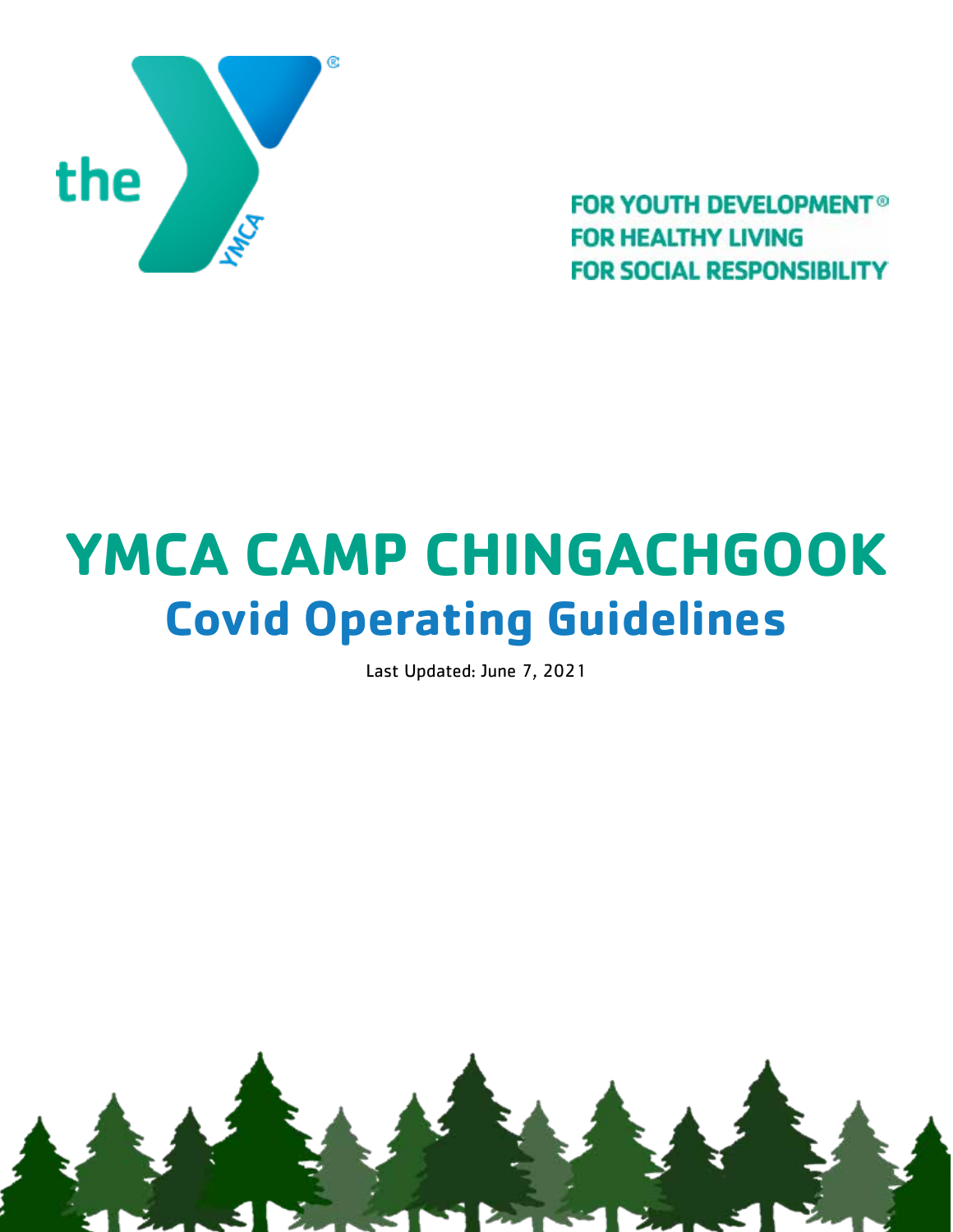

**FOR YOUTH DEVELOPMENT<sup>®</sup> FOR HEALTHY LIVING FOR SOCIAL RESPONSIBILITY** 

# **YMCA CAMP CHINGACHGOOK Covid Operating Guidelines**

Last Updated: June 7, 2021

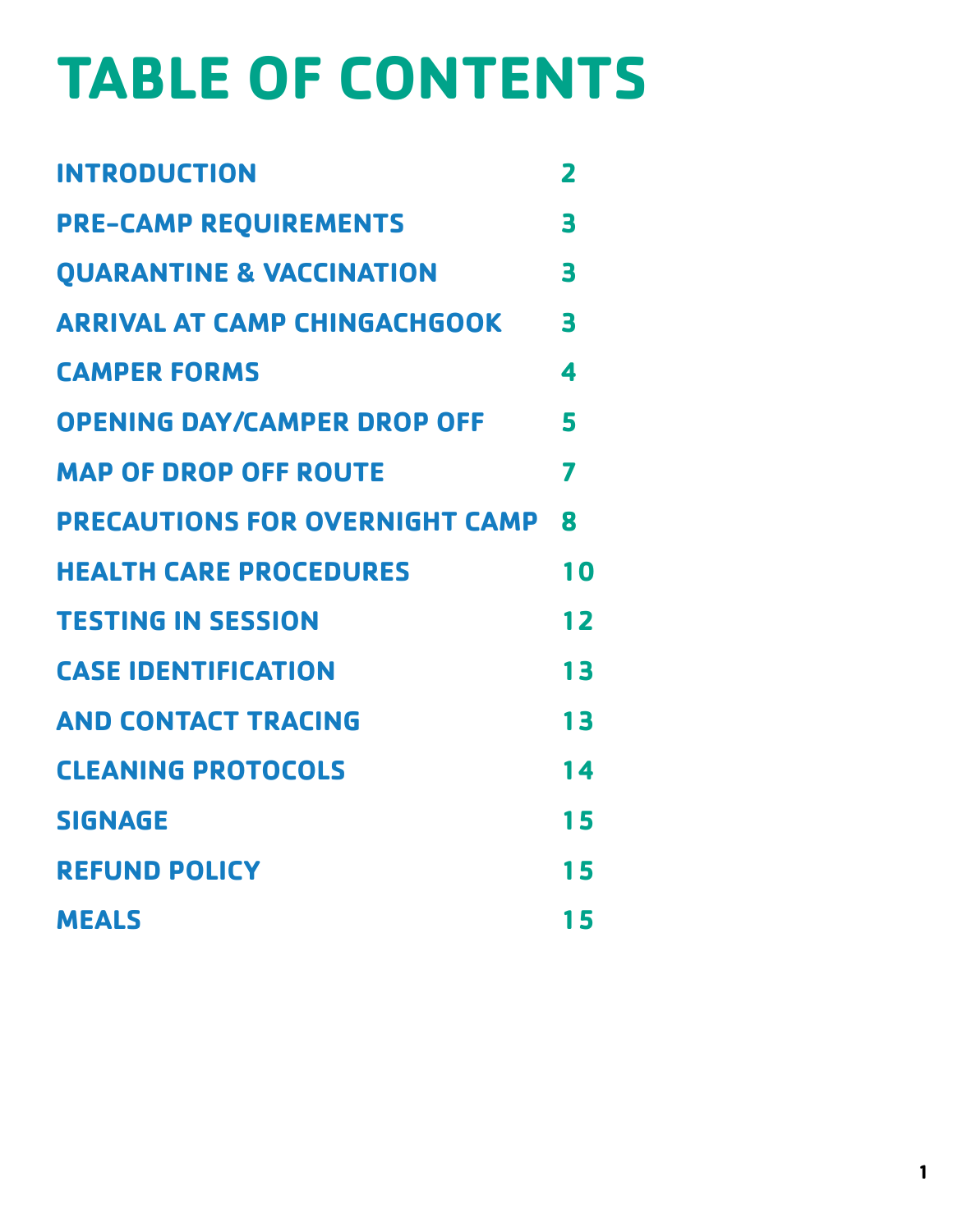# **TABLE OF CONTENTS**

| <b>INTRODUCTION</b>                     | $\overline{\mathbf{2}}$ |
|-----------------------------------------|-------------------------|
| <b>PRE-CAMP REQUIREMENTS</b>            | 3                       |
| <b>OUARANTINE &amp; VACCINATION</b>     | 3                       |
| <b>ARRIVAL AT CAMP CHINGACHGOOK</b>     | 3                       |
| <b>CAMPER FORMS</b>                     | 4                       |
| <b>OPENING DAY/CAMPER DROP OFF</b>      | 5                       |
| <b>MAP OF DROP OFF ROUTE</b>            | 7                       |
| <b>PRECAUTIONS FOR OVERNIGHT CAMP 8</b> |                         |
| <b>HEALTH CARE PROCEDURES</b>           | 10                      |
| <b>TESTING IN SESSION</b>               | 12                      |
| <b>CASE IDENTIFICATION</b>              | 13                      |
| <b>AND CONTACT TRACING</b>              | 13                      |
| <b>CLEANING PROTOCOLS</b>               | 14                      |
| <b>SIGNAGE</b>                          | 15                      |
| <b>REFUND POLICY</b>                    | 15                      |
| <b>MEALS</b>                            | 15                      |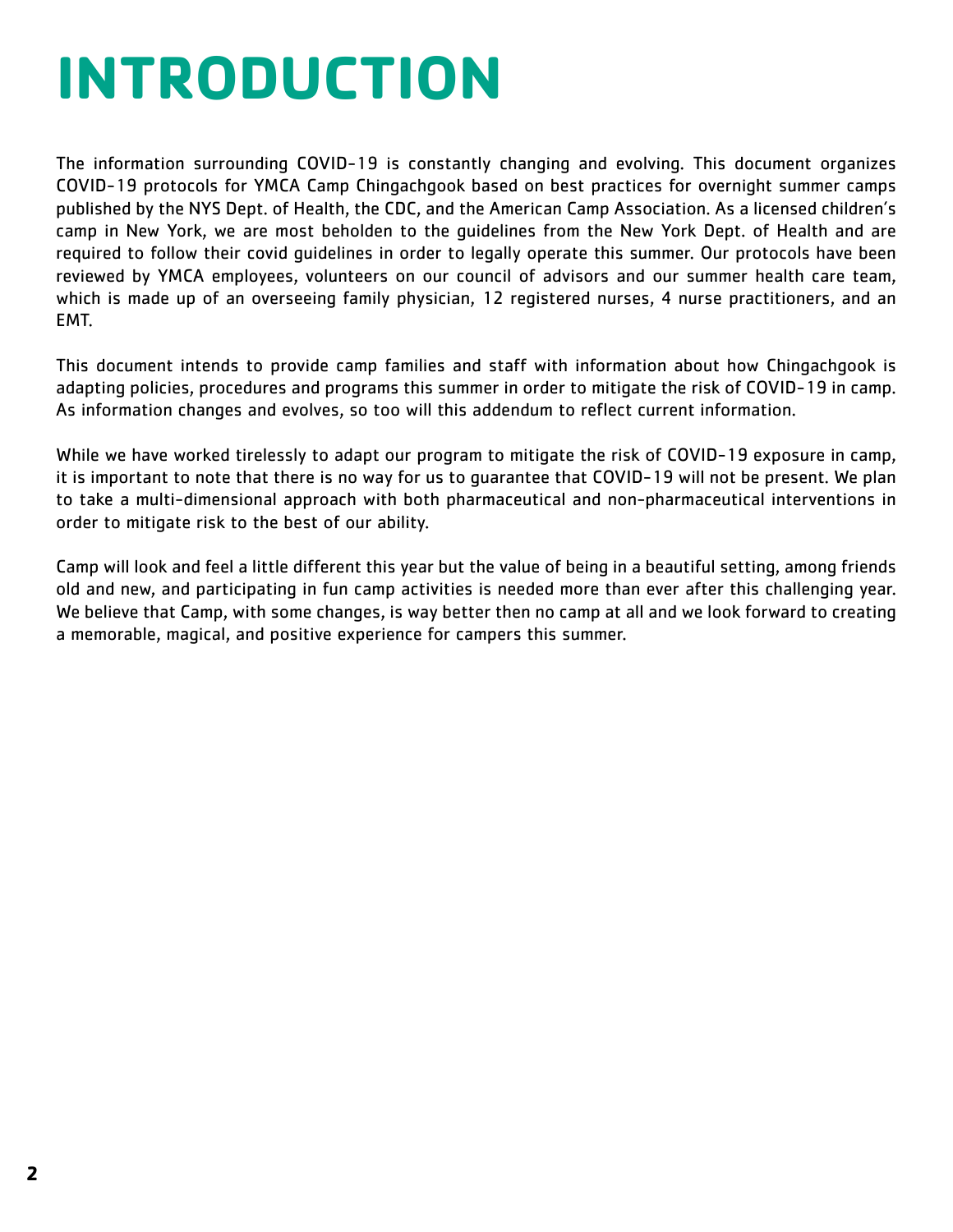# <span id="page-2-0"></span>**INTRODUCTION**

The information surrounding COVID-19 is constantly changing and evolving. This document organizes COVID-19 protocols for YMCA Camp Chingachgook based on best practices for overnight summer camps published by the NYS Dept. of Health, the CDC, and the American Camp Association. As a licensed children's camp in New York, we are most beholden to the guidelines from the New York Dept. of Health and are required to follow their covid guidelines in order to legally operate this summer. Our protocols have been reviewed by YMCA employees, volunteers on our council of advisors and our summer health care team, which is made up of an overseeing family physician, 12 registered nurses, 4 nurse practitioners, and an EMT.

This document intends to provide camp families and staff with information about how Chingachgook is adapting policies, procedures and programs this summer in order to mitigate the risk of COVID-19 in camp. As information changes and evolves, so too will this addendum to reflect current information.

While we have worked tirelessly to adapt our program to mitigate the risk of COVID-19 exposure in camp, it is important to note that there is no way for us to guarantee that COVID-19 will not be present. We plan to take a multi-dimensional approach with both pharmaceutical and non-pharmaceutical interventions in order to mitigate risk to the best of our ability.

Camp will look and feel a little different this year but the value of being in a beautiful setting, among friends old and new, and participating in fun camp activities is needed more than ever after this challenging year. We believe that Camp, with some changes, is way better then no camp at all and we look forward to creating a memorable, magical, and positive experience for campers this summer.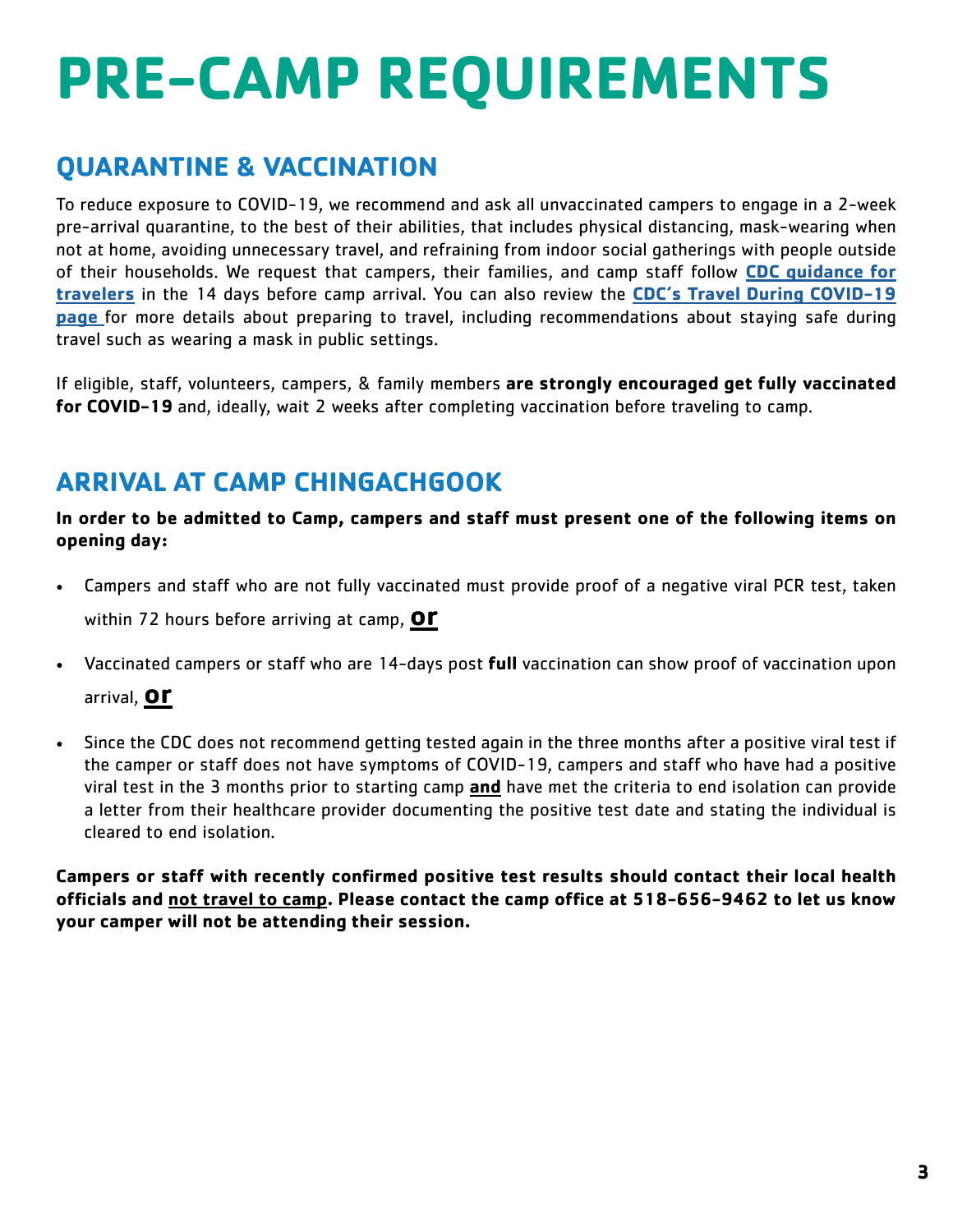# <span id="page-3-0"></span>**PRE-CAMP REQUIREMENTS**

# **QUARANTINE & VACCINATION**

To reduce exposure to COVID-19, we recommend and ask all unvaccinated campers to engage in a 2-week pre-arrival quarantine, to the best of their abilities, that includes physical distancing, mask-wearing when not at home, avoiding unnecessary travel, and refraining from indoor social gatherings with people outside of their households. We request that campers, their families, and camp staff follow **[CDC guidance for](https://www.cdc.gov/coronavirus/2019-ncov/travelers/travel-during-covid19.html)  [travelers](https://www.cdc.gov/coronavirus/2019-ncov/travelers/travel-during-covid19.html)** in the 14 days before camp arrival. You can also review the **[CDC's Travel During COVID-19](https://www.cdc.gov/coronavirus/2019-ncov/travelers/travel-during-covid19.html)  [page](https://www.cdc.gov/coronavirus/2019-ncov/travelers/travel-during-covid19.html)** for more details about preparing to travel, including recommendations about staying safe during travel such as wearing a mask in public settings.

If eligible, staff, volunteers, campers, & family members **are strongly encouraged get fully vaccinated for COVID-19** and, ideally, wait 2 weeks after completing vaccination before traveling to camp.

# **ARRIVAL AT CAMP CHINGACHGOOK**

**In order to be admitted to Camp, campers and staff must present one of the following items on opening day:**

- Campers and staff who are not fully vaccinated must provide proof of a negative viral PCR test, taken within 72 hours before arriving at camp, **or**
- Vaccinated campers or staff who are 14-days post **full** vaccination can show proof of vaccination upon

arrival, **or**

• Since the CDC does not recommend getting tested again in the three months after a positive viral test if the camper or staff does not have symptoms of COVID-19, campers and staff who have had a positive viral test in the 3 months prior to starting camp **and** have met the criteria to end isolation can provide a letter from their healthcare provider documenting the positive test date and stating the individual is cleared to end isolation.

**Campers or staff with recently confirmed positive test results should contact their local health officials and not travel to camp. Please contact the camp office at 518-656-9462 to let us know your camper will not be attending their session.**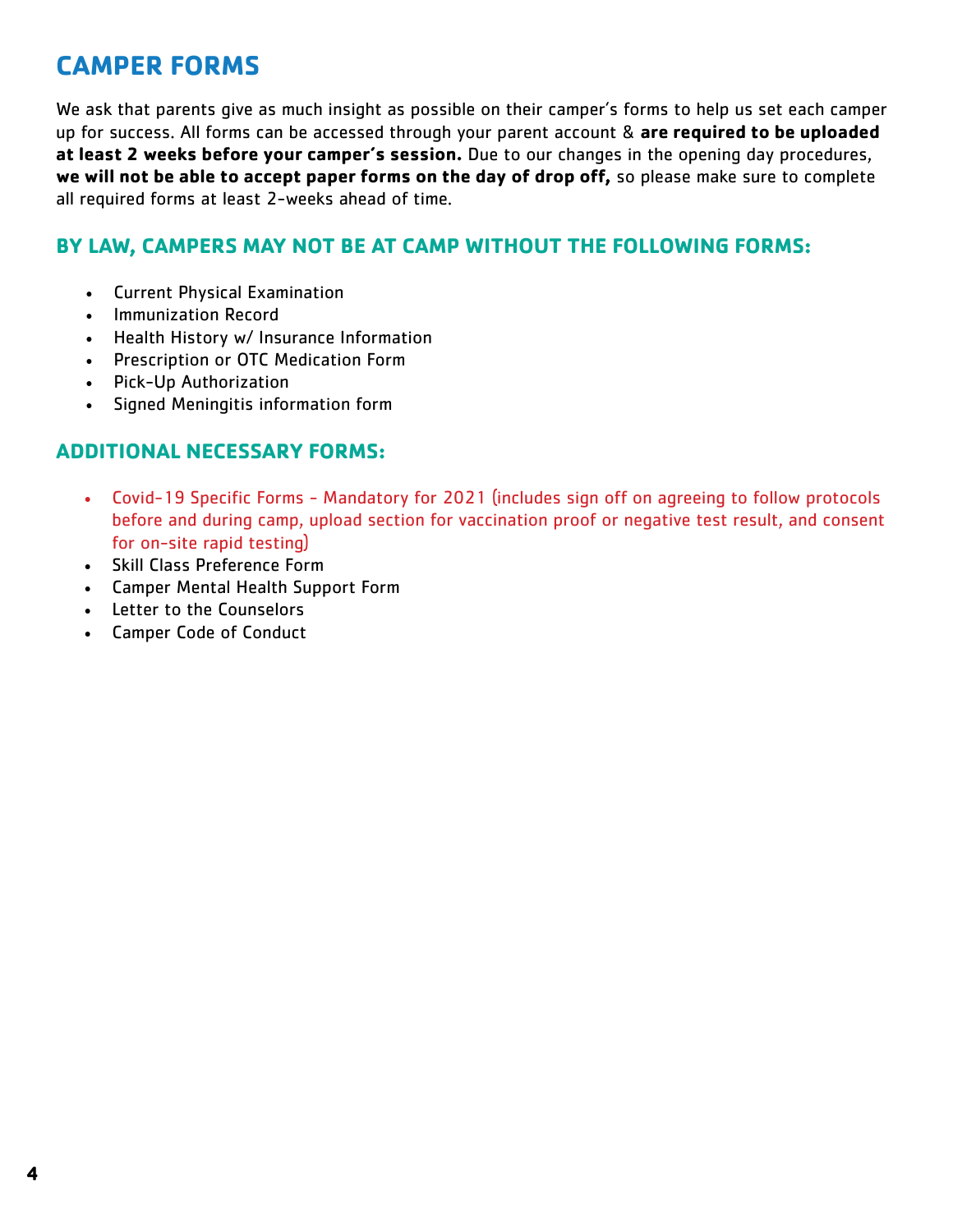# <span id="page-4-0"></span>**CAMPER FORMS**

We ask that parents give as much insight as possible on their camper's forms to help us set each camper up for success. All forms can be accessed through your parent account & **are required to be uploaded at least 2 weeks before your camper's session.** Due to our changes in the opening day procedures, **we will not be able to accept paper forms on the day of drop off,** so please make sure to complete all required forms at least 2-weeks ahead of time.

## **BY LAW, CAMPERS MAY NOT BE AT CAMP WITHOUT THE FOLLOWING FORMS:**

- Current Physical Examination
- Immunization Record
- Health History w/ Insurance Information
- Prescription or OTC Medication Form
- Pick-Up Authorization
- Signed Meningitis information form

## **ADDITIONAL NECESSARY FORMS:**

- Covid-19 Specific Forms Mandatory for 2021 (includes sign off on agreeing to follow protocols before and during camp, upload section for vaccination proof or negative test result, and consent for on-site rapid testing)
- Skill Class Preference Form
- Camper Mental Health Support Form
- Letter to the Counselors
- Camper Code of Conduct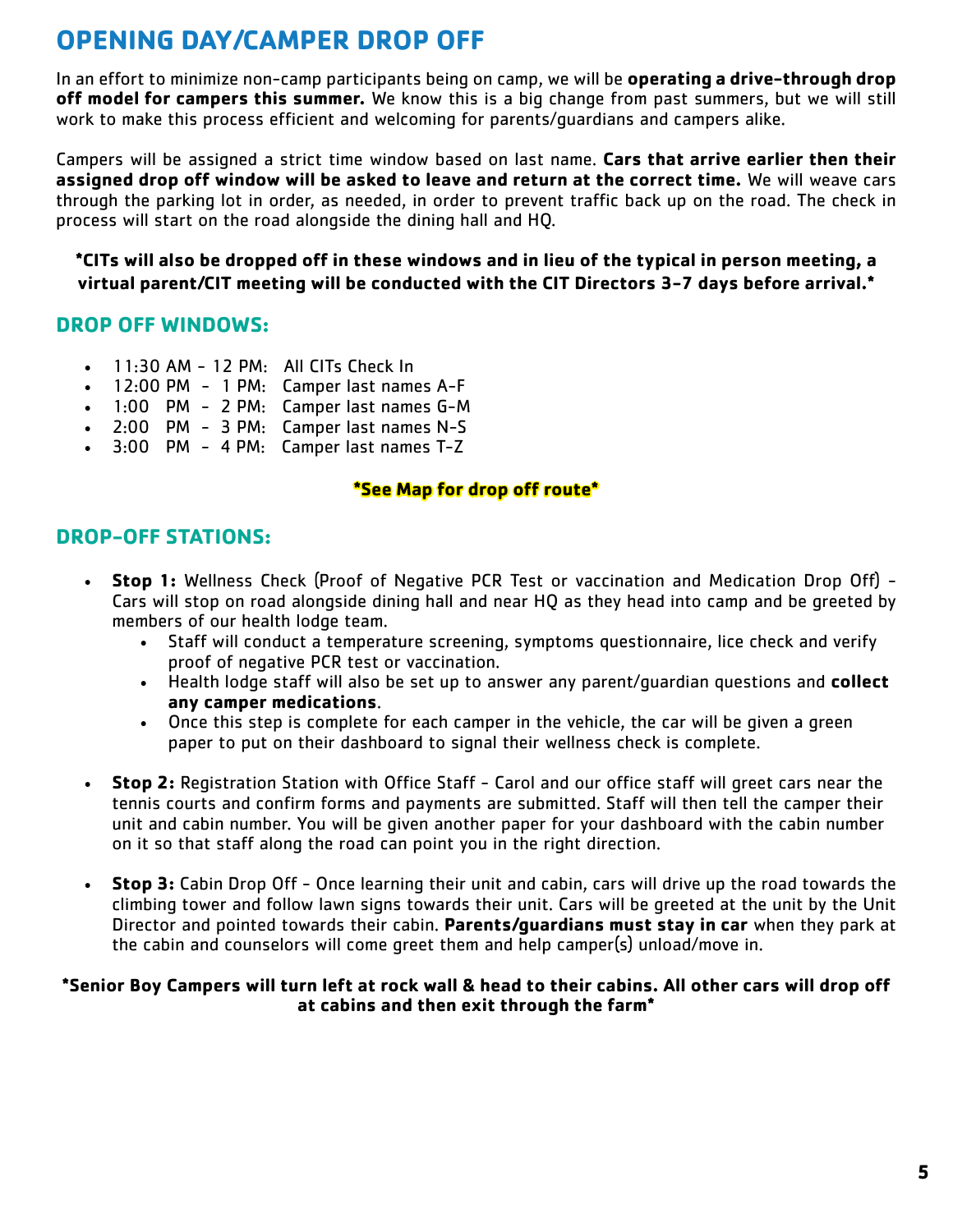# <span id="page-5-0"></span>**OPENING DAY/CAMPER DROP OFF**

In an effort to minimize non-camp participants being on camp, we will be **operating a drive-through drop off model for campers this summer.** We know this is a big change from past summers, but we will still work to make this process efficient and welcoming for parents/guardians and campers alike.

Campers will be assigned a strict time window based on last name. **Cars that arrive earlier then their assigned drop off window will be asked to leave and return at the correct time.** We will weave cars through the parking lot in order, as needed, in order to prevent traffic back up on the road. The check in process will start on the road alongside the dining hall and HQ.

**\*CITs will also be dropped off in these windows and in lieu of the typical in person meeting, a virtual parent/CIT meeting will be conducted with the CIT Directors 3-7 days before arrival.\***

## **DROP OFF WINDOWS:**

- $11:30$  AM 12 PM: All CITs Check In
- 12:00 PM 1 PM: Camper last names A-F
- 1:00 PM 2 PM: Camper last names G-M
- 2:00 PM 3 PM: Camper last names N-S
- 3:00 PM 4 PM: Camper last names T-Z

## **\*See Map for drop off route\***

## **DROP-OFF STATIONS:**

- **Stop 1:** Wellness Check (Proof of Negative PCR Test or vaccination and Medication Drop Off) Cars will stop on road alongside dining hall and near HQ as they head into camp and be greeted by members of our health lodge team.
	- Staff will conduct a temperature screening, symptoms questionnaire, lice check and verify proof of negative PCR test or vaccination.
	- Health lodge staff will also be set up to answer any parent/guardian questions and **collect any camper medications**.
	- Once this step is complete for each camper in the vehicle, the car will be given a green paper to put on their dashboard to signal their wellness check is complete.
- **Stop 2:** Registration Station with Office Staff Carol and our office staff will greet cars near the tennis courts and confirm forms and payments are submitted. Staff will then tell the camper their unit and cabin number. You will be given another paper for your dashboard with the cabin number on it so that staff along the road can point you in the right direction.
- **Stop 3:** Cabin Drop Off Once learning their unit and cabin, cars will drive up the road towards the climbing tower and follow lawn signs towards their unit. Cars will be greeted at the unit by the Unit Director and pointed towards their cabin. **Parents/guardians must stay in car** when they park at the cabin and counselors will come greet them and help camper(s) unload/move in.

#### **\*Senior Boy Campers will turn left at rock wall & head to their cabins. All other cars will drop off at cabins and then exit through the farm\***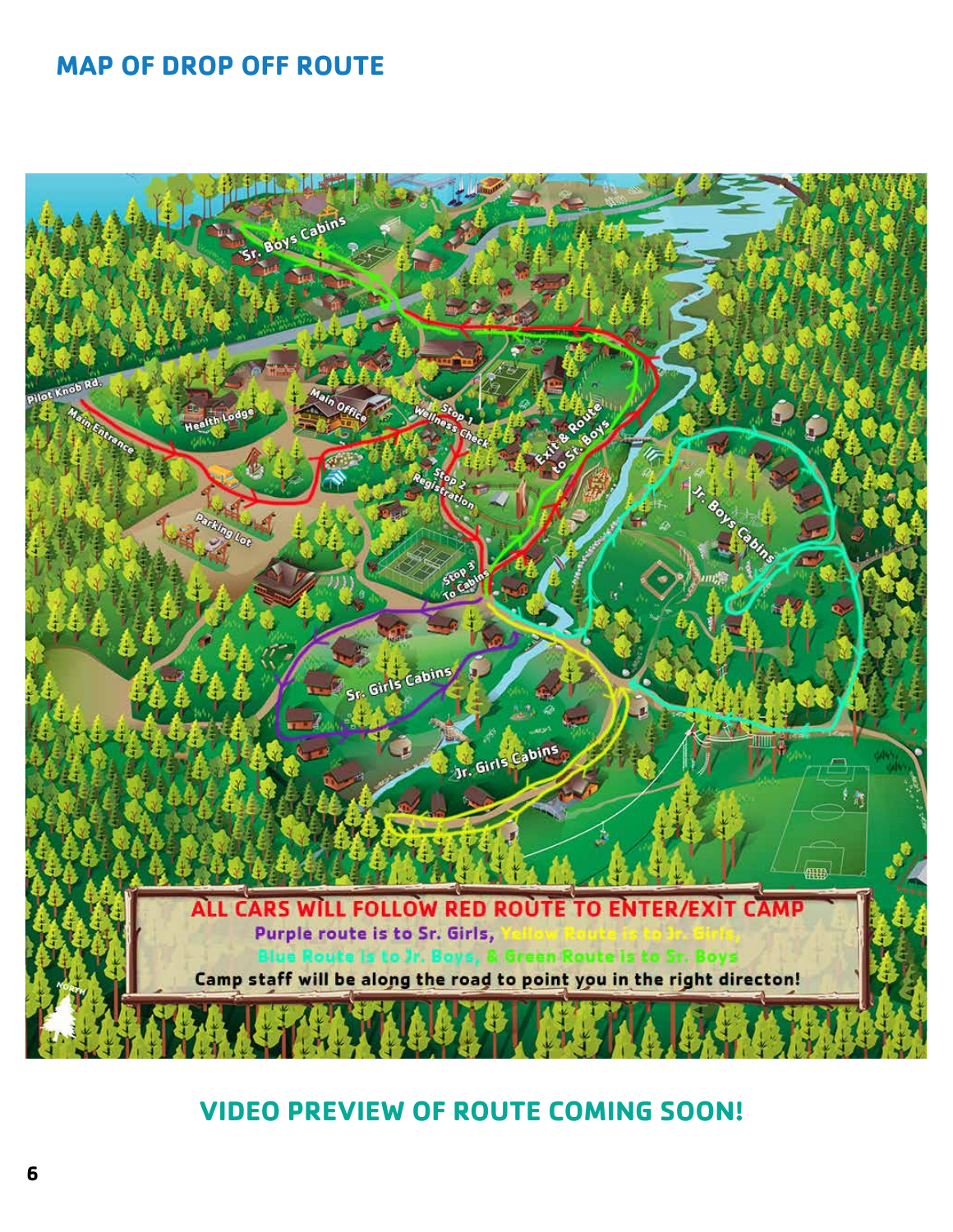# <span id="page-6-0"></span>**MAP OF DROP OFF ROUTE**



## **VIDEO PREVIEW OF ROUTE COMING SOON!**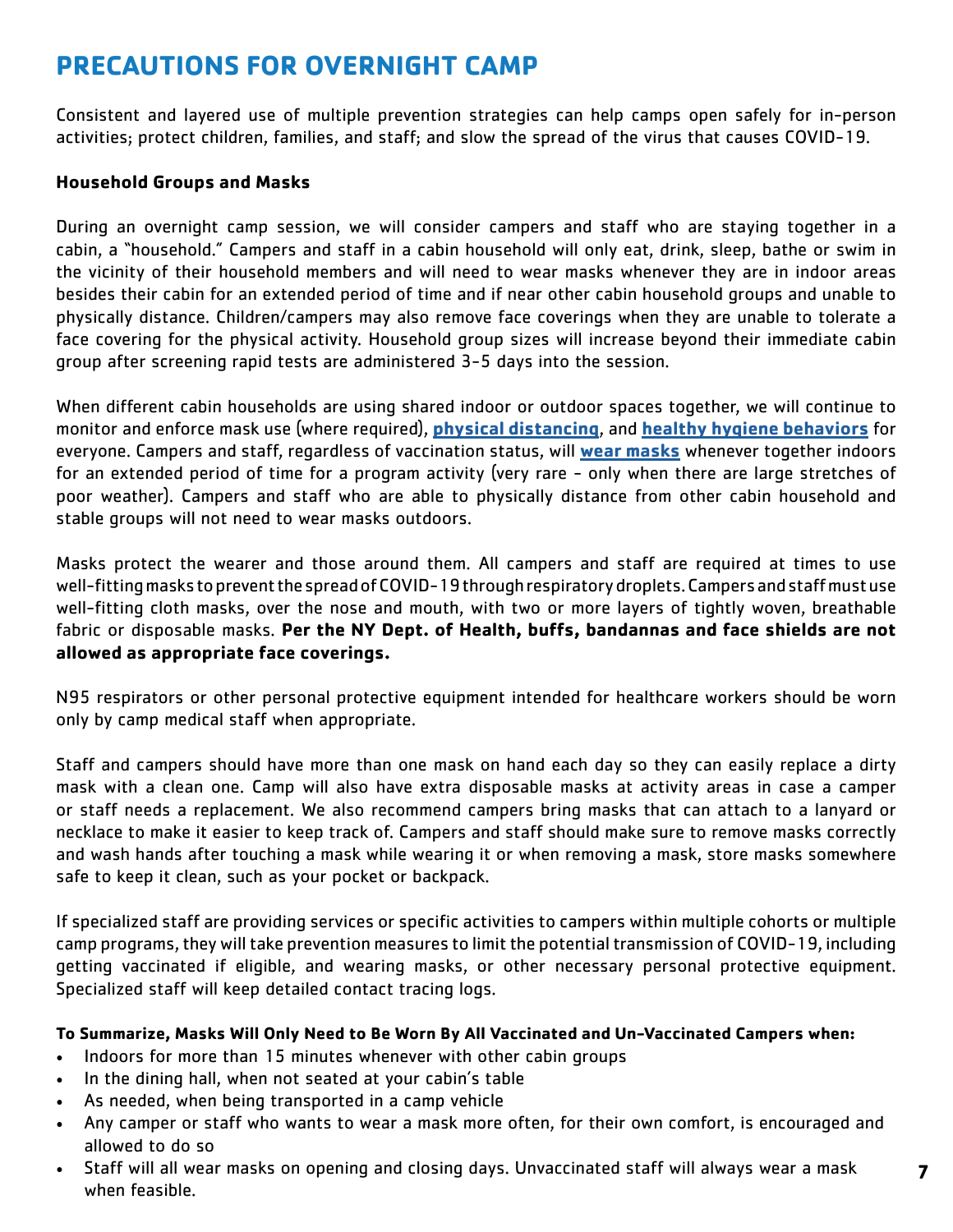# <span id="page-7-0"></span>**PRECAUTIONS FOR OVERNIGHT CAMP**

Consistent and layered use of multiple prevention strategies can help camps open safely for in-person activities; protect children, families, and staff; and slow the spread of the virus that causes COVID-19.

#### **Household Groups and Masks**

During an overnight camp session, we will consider campers and staff who are staying together in a cabin, a "household." Campers and staff in a cabin household will only eat, drink, sleep, bathe or swim in the vicinity of their household members and will need to wear masks whenever they are in indoor areas besides their cabin for an extended period of time and if near other cabin household groups and unable to physically distance. Children/campers may also remove face coverings when they are unable to tolerate a face covering for the physical activity. Household group sizes will increase beyond their immediate cabin group after screening rapid tests are administered 3-5 days into the session.

When different cabin households are using shared indoor or outdoor spaces together, we will continue to monitor and enforce mask use (where required), **[physical distancing](https://www.cdc.gov/coronavirus/2019-ncov/prevent-getting-sick/social-distancing.html)**, and **[healthy hygiene behaviors](https://www.cdc.gov/coronavirus/2019-ncov/prevent-getting-sick/prevention.html)** for everyone. Campers and staff, regardless of vaccination status, will **[wear masks](https://www.cdc.gov/coronavirus/2019-ncov/prevent-getting-sick/about-face-coverings.html)** whenever together indoors for an extended period of time for a program activity (very rare - only when there are large stretches of poor weather). Campers and staff who are able to physically distance from other cabin household and stable groups will not need to wear masks outdoors.

Masks protect the wearer and those around them. All campers and staff are required at times to use well-fitting masks to prevent the spread of COVID-19 through respiratory droplets. Campers and staff must use well-fitting cloth masks, over the nose and mouth, with two or more layers of tightly woven, breathable fabric or disposable masks. **Per the NY Dept. of Health, buffs, bandannas and face shields are not allowed as appropriate face coverings.**

N95 respirators or other personal protective equipment intended for healthcare workers should be worn only by camp medical staff when appropriate.

Staff and campers should have more than one mask on hand each day so they can easily replace a dirty mask with a clean one. Camp will also have extra disposable masks at activity areas in case a camper or staff needs a replacement. We also recommend campers bring masks that can attach to a lanyard or necklace to make it easier to keep track of. Campers and staff should make sure to remove masks correctly and wash hands after touching a mask while wearing it or when removing a mask, store masks somewhere safe to keep it clean, such as your pocket or backpack.

If specialized staff are providing services or specific activities to campers within multiple cohorts or multiple camp programs, they will take prevention measures to limit the potential transmission of COVID-19, including getting vaccinated if eligible, and wearing masks, or other necessary personal protective equipment. Specialized staff will keep detailed contact tracing logs.

#### **To Summarize, Masks Will Only Need to Be Worn By All Vaccinated and Un-Vaccinated Campers when:**

- Indoors for more than 15 minutes whenever with other cabin groups
- In the dining hall, when not seated at your cabin's table
- As needed, when being transported in a camp vehicle
- Any camper or staff who wants to wear a mask more often, for their own comfort, is encouraged and allowed to do so
- Staff will all wear masks on opening and closing days. Unvaccinated staff will always wear a mask when feasible.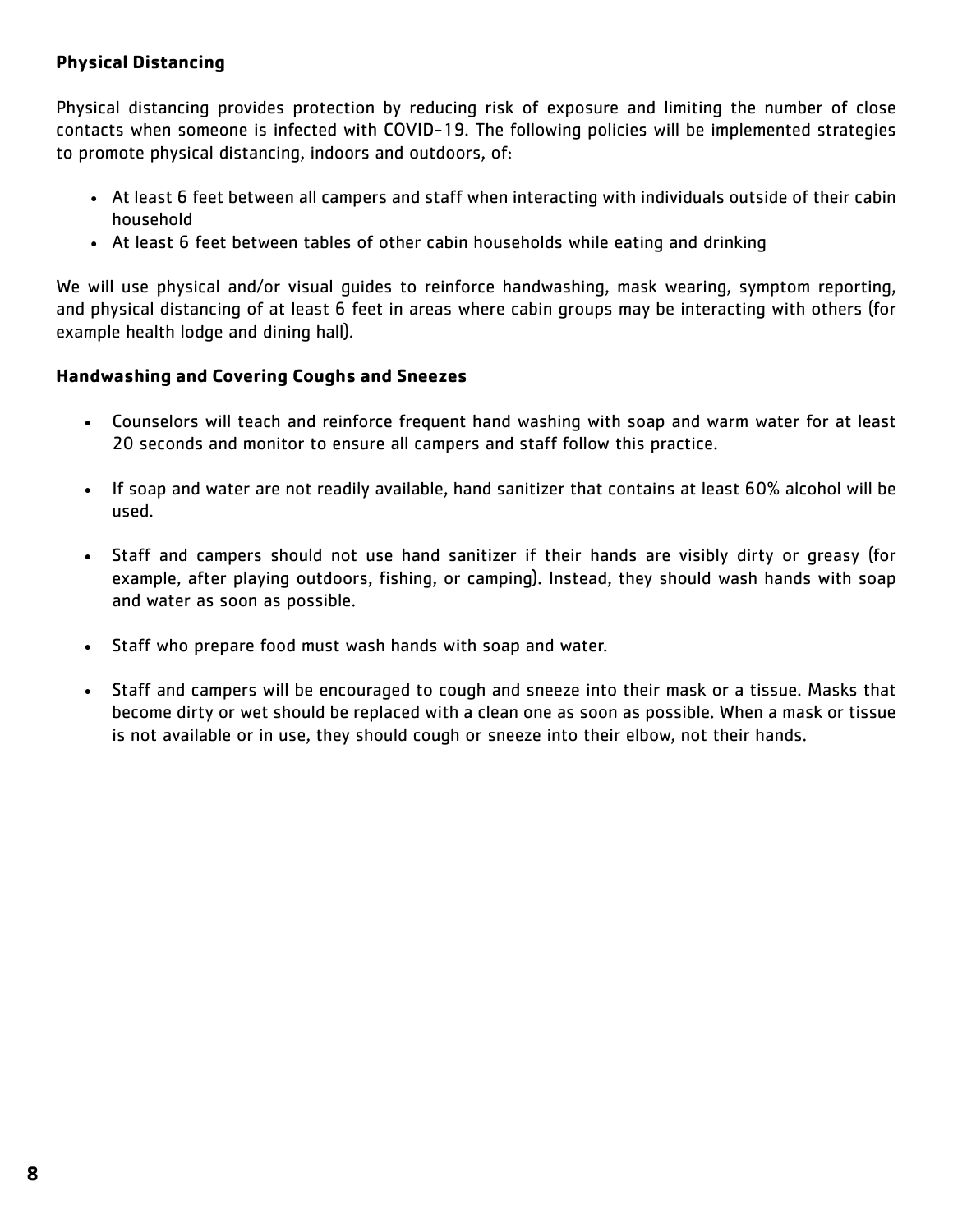## **Physical Distancing**

Physical distancing provides protection by reducing risk of exposure and limiting the number of close contacts when someone is infected with COVID-19. The following policies will be implemented strategies to promote physical distancing, indoors and outdoors, of:

- At least 6 feet between all campers and staff when interacting with individuals outside of their cabin household
- At least 6 feet between tables of other cabin households while eating and drinking

We will use physical and/or visual guides to reinforce handwashing, mask wearing, symptom reporting, and physical distancing of at least 6 feet in areas where cabin groups may be interacting with others (for example health lodge and dining hall).

#### **Handwashing and Covering Coughs and Sneezes**

- Counselors will teach and reinforce frequent hand washing with soap and warm water for at least 20 seconds and monitor to ensure all campers and staff follow this practice.
- If soap and water are not readily available, hand sanitizer that contains at least 60% alcohol will be used.
- Staff and campers should not use hand sanitizer if their hands are visibly dirty or greasy (for example, after playing outdoors, fishing, or camping). Instead, they should wash hands with soap and water as soon as possible.
- Staff who prepare food must wash hands with soap and water.
- Staff and campers will be encouraged to cough and sneeze into their mask or a tissue. Masks that become dirty or wet should be replaced with a clean one as soon as possible. When a mask or tissue is not available or in use, they should cough or sneeze into their elbow, not their hands.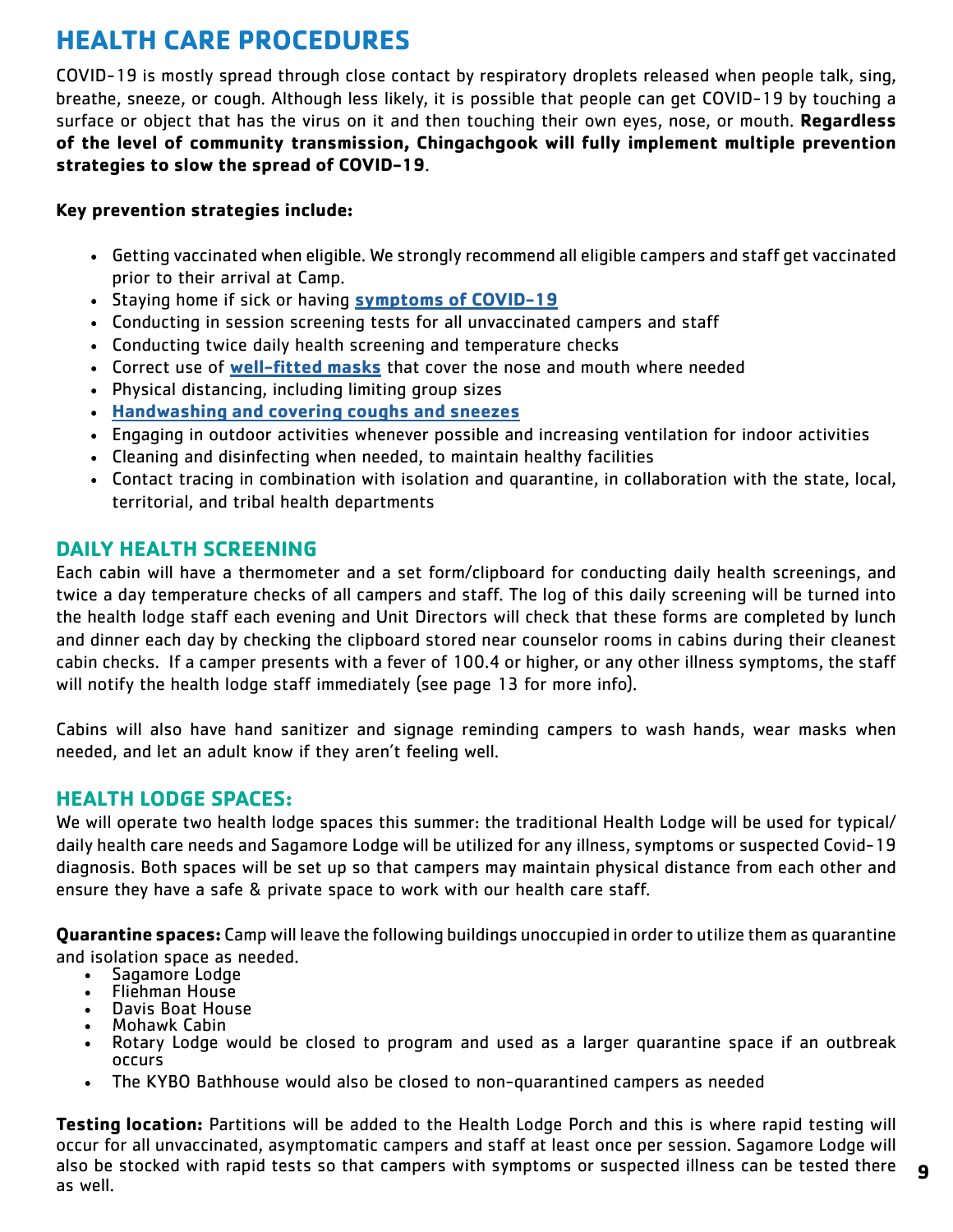# <span id="page-9-0"></span>**HEALTH CARE PROCEDURES**

COVID-19 is mostly spread through close contact by respiratory droplets released when people talk, sing, breathe, sneeze, or cough. Although less likely, it is possible that people can get COVID-19 by touching a surface or object that has the virus on it and then touching their own eyes, nose, or mouth. **Regardless of the level of community transmission, Chingachgook will fully implement multiple prevention strategies to slow the spread of COVID-19**.

## **Key prevention strategies include:**

- Getting vaccinated when eligible. We strongly recommend all eligible campers and staff get vaccinated prior to their arrival at Camp.
- Staying home if sick or having **[symptoms of COVID-19](https://www.cdc.gov/coronavirus/2019-ncov/symptoms-testing/symptoms.html?CDC_AA_refVal=https%3A%2F%2Fwww.cdc.gov%2Fcoronavirus%2F2019-ncov%2Fabout%2Fsymptoms.html)**
- Conducting in session screening tests for all unvaccinated campers and staff
- Conducting twice daily health screening and temperature checks
- Correct use of **[well-fitted masks](https://www.cdc.gov/coronavirus/2019-ncov/prevent-getting-sick/cloth-face-cover-guidance.html?CDC_AA_refVal=https%3A%2F%2Fwww.cdc.gov%2Fcoronavirus%2F2019-ncov%2Fcommunity%2Fschools-childcare%2Fcloth-face-cover.html)** that cover the nose and mouth where needed
- Physical distancing, including limiting group sizes
- **[Handwashing and covering coughs and sneezes](https://www.cdc.gov/handwashing/when-how-handwashing.html)**
- Engaging in outdoor activities whenever possible and increasing ventilation for indoor activities
- Cleaning and disinfecting when needed, to maintain healthy facilities
- Contact tracing in combination with isolation and quarantine, in collaboration with the state, local, territorial, and tribal health departments

## **DAILY HEALTH SCREENING**

Each cabin will have a thermometer and a set form/clipboard for conducting daily health screenings, and twice a day temperature checks of all campers and staff. The log of this daily screening will be turned into the health lodge staff each evening and Unit Directors will check that these forms are completed by lunch and dinner each day by checking the clipboard stored near counselor rooms in cabins during their cleanest cabin checks. If a camper presents with a fever of 100.4 or higher, or any other illness symptoms, the staff will notify the health lodge staff immediately (see page 13 for more info).

Cabins will also have hand sanitizer and signage reminding campers to wash hands, wear masks when needed, and let an adult know if they aren't feeling well.

## **HEALTH LODGE SPACES:**

We will operate two health lodge spaces this summer: the traditional Health Lodge will be used for typical/ daily health care needs and Sagamore Lodge will be utilized for any illness, symptoms or suspected Covid-19 diagnosis. Both spaces will be set up so that campers may maintain physical distance from each other and ensure they have a safe & private space to work with our health care staff.

**Quarantine spaces:** Camp will leave the following buildings unoccupied in order to utilize them as quarantine and isolation space as needed.<br>• Sagamore Lodge<br>• Fliehman House<br>• Mohawk Cabin<br>• Rotary Lodge would be closed to program and used as a larger quarantine space if an outbreak<br>• Rotary Lodge would be closed to program and u

- 
- 
- 
- 
- occurs
- The KYBO Bathhouse would also be closed to non-quarantined campers as needed

**Testing location:** Partitions will be added to the Health Lodge Porch and this is where rapid testing will occur for all unvaccinated, asymptomatic campers and staff at least once per session. Sagamore Lodge will also be stocked with rapid tests so that campers with symptoms or suspected illness can be tested there as well.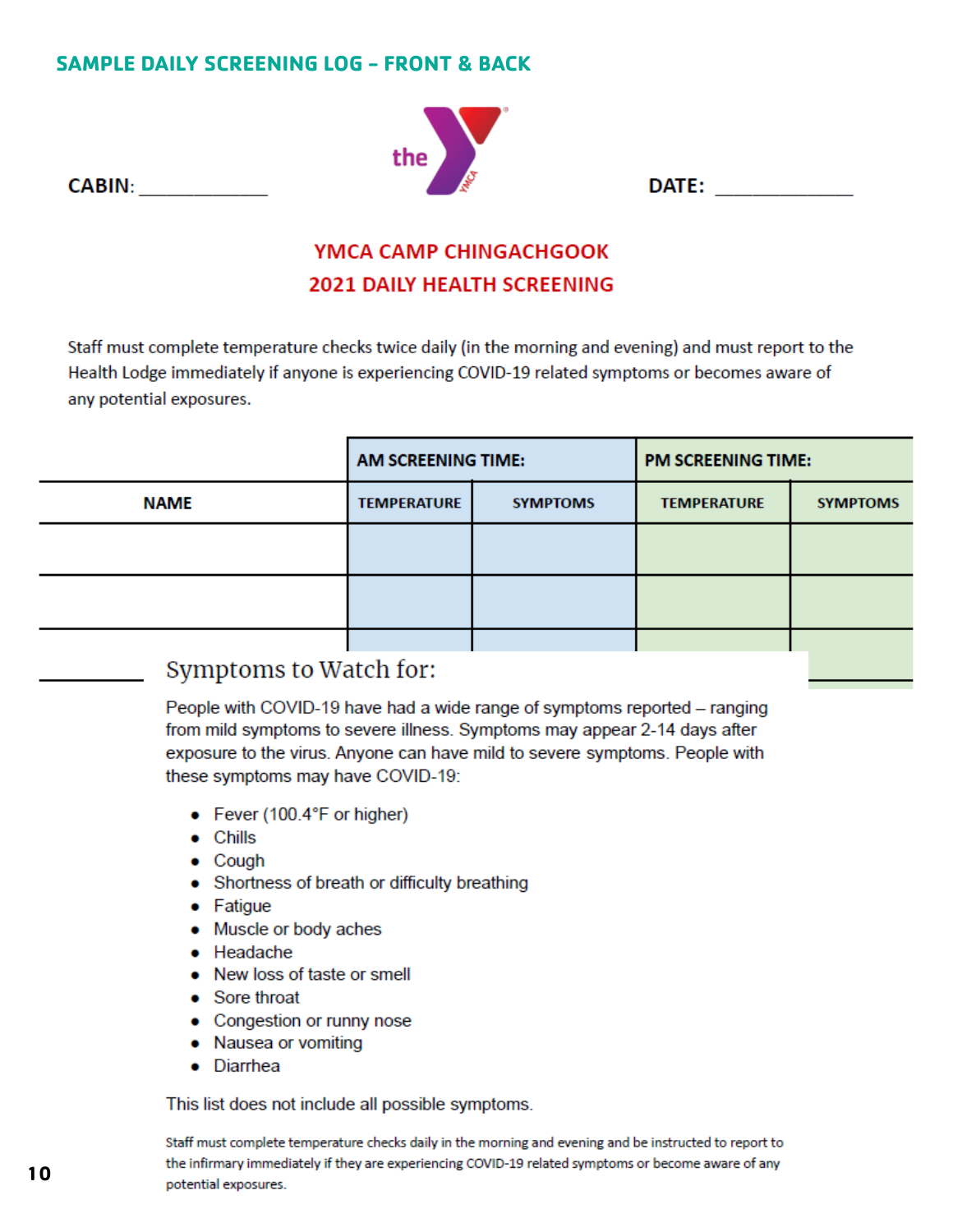## **SAMPLE DAILY SCREENING LOG - FRONT & BACK**

CABIN: The contract of the contract of the contract of the contract of the contract of the contract of the contract of the contract of the contract of the contract of the contract of the contract of the contract of the con

![](_page_10_Picture_1.jpeg)

## YMCA CAMP CHINGACHGOOK **2021 DAILY HEALTH SCREENING**

Staff must complete temperature checks twice daily (in the morning and evening) and must report to the Health Lodge immediately if anyone is experiencing COVID-19 related symptoms or becomes aware of any potential exposures.

|             | <b>AM SCREENING TIME:</b> |                 | <b>PM SCREENING TIME:</b> |                 |
|-------------|---------------------------|-----------------|---------------------------|-----------------|
| <b>NAME</b> | <b>TEMPERATURE</b>        | <b>SYMPTOMS</b> | <b>TEMPERATURE</b>        | <b>SYMPTOMS</b> |
|             |                           |                 |                           |                 |
|             |                           |                 |                           |                 |
|             |                           |                 |                           |                 |

## Symptoms to Watch for:

People with COVID-19 have had a wide range of symptoms reported – ranging from mild symptoms to severe illness. Symptoms may appear 2-14 days after exposure to the virus. Anyone can have mild to severe symptoms. People with these symptoms may have COVID-19:

- Fever (100.4°F or higher)
- $\bullet$  Chills
- $\bullet$  Cough
- Shortness of breath or difficulty breathing
- Fatigue
- Muscle or body aches
- Headache
- New loss of taste or smell
- Sore throat
- Congestion or runny nose
- Nausea or vomiting
- Diarrhea

This list does not include all possible symptoms.

Staff must complete temperature checks daily in the morning and evening and be instructed to report to the infirmary immediately if they are experiencing COVID-19 related symptoms or become aware of any potential exposures.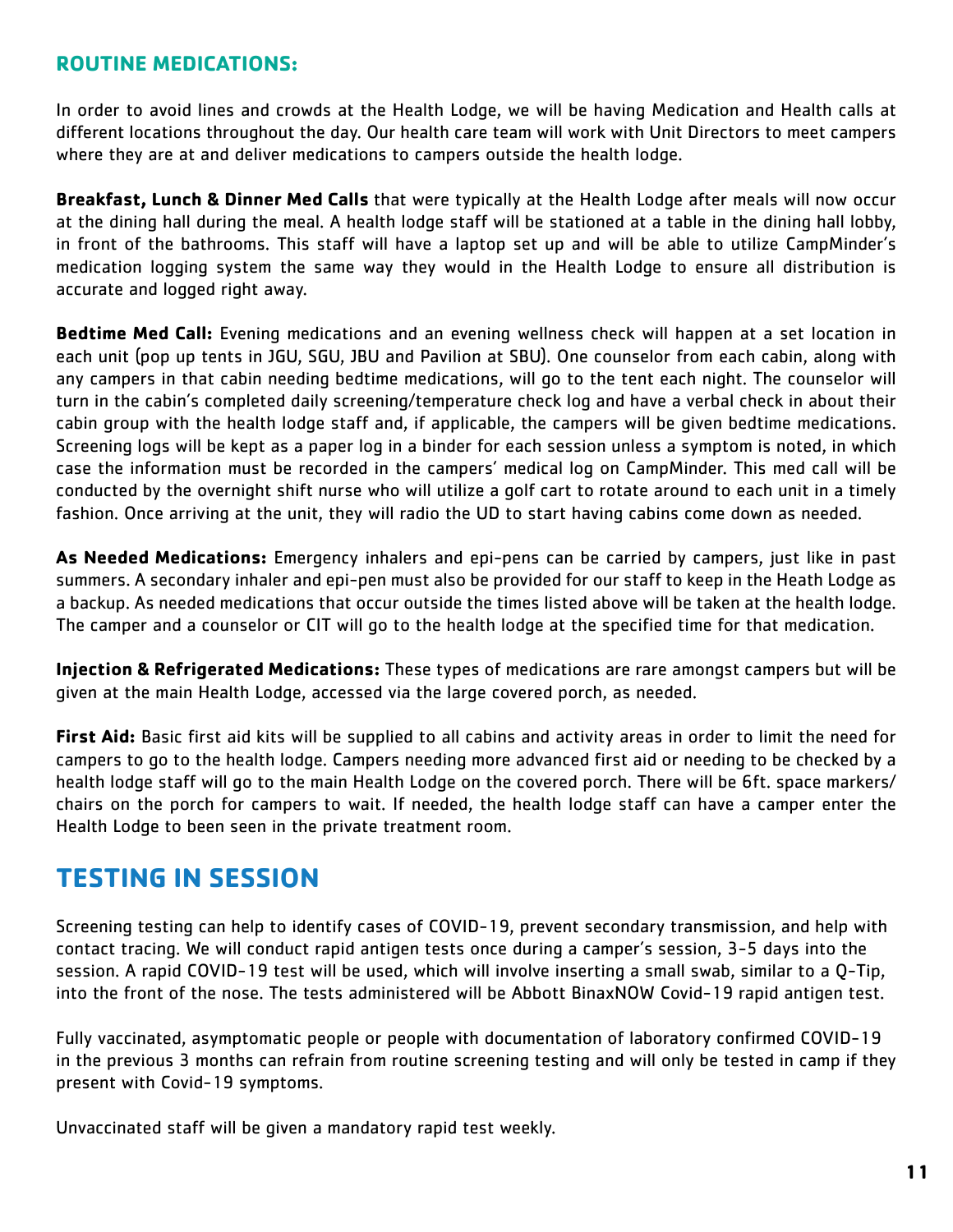## <span id="page-11-0"></span>**ROUTINE MEDICATIONS:**

In order to avoid lines and crowds at the Health Lodge, we will be having Medication and Health calls at different locations throughout the day. Our health care team will work with Unit Directors to meet campers where they are at and deliver medications to campers outside the health lodge.

**Breakfast, Lunch & Dinner Med Calls** that were typically at the Health Lodge after meals will now occur at the dining hall during the meal. A health lodge staff will be stationed at a table in the dining hall lobby, in front of the bathrooms. This staff will have a laptop set up and will be able to utilize CampMinder's medication logging system the same way they would in the Health Lodge to ensure all distribution is accurate and logged right away.

**Bedtime Med Call:** Evening medications and an evening wellness check will happen at a set location in each unit (pop up tents in JGU, SGU, JBU and Pavilion at SBU). One counselor from each cabin, along with any campers in that cabin needing bedtime medications, will go to the tent each night. The counselor will turn in the cabin's completed daily screening/temperature check log and have a verbal check in about their cabin group with the health lodge staff and, if applicable, the campers will be given bedtime medications. Screening logs will be kept as a paper log in a binder for each session unless a symptom is noted, in which case the information must be recorded in the campers' medical log on CampMinder. This med call will be conducted by the overnight shift nurse who will utilize a golf cart to rotate around to each unit in a timely fashion. Once arriving at the unit, they will radio the UD to start having cabins come down as needed.

**As Needed Medications:** Emergency inhalers and epi-pens can be carried by campers, just like in past summers. A secondary inhaler and epi-pen must also be provided for our staff to keep in the Heath Lodge as a backup. As needed medications that occur outside the times listed above will be taken at the health lodge. The camper and a counselor or CIT will go to the health lodge at the specified time for that medication.

**Injection & Refrigerated Medications:** These types of medications are rare amongst campers but will be given at the main Health Lodge, accessed via the large covered porch, as needed.

**First Aid:** Basic first aid kits will be supplied to all cabins and activity areas in order to limit the need for campers to go to the health lodge. Campers needing more advanced first aid or needing to be checked by a health lodge staff will go to the main Health Lodge on the covered porch. There will be 6ft. space markers/ chairs on the porch for campers to wait. If needed, the health lodge staff can have a camper enter the Health Lodge to been seen in the private treatment room.

# **TESTING IN SESSION**

Screening testing can help to identify cases of COVID-19, prevent secondary transmission, and help with contact tracing. We will conduct rapid antigen tests once during a camper's session, 3-5 days into the session. A rapid COVID-19 test will be used, which will involve inserting a small swab, similar to a Q-Tip, into the front of the nose. The tests administered will be Abbott BinaxNOW Covid-19 rapid antigen test.

Fully vaccinated, asymptomatic people or people with documentation of laboratory confirmed COVID-19 in the previous 3 months can refrain from routine screening testing and will only be tested in camp if they present with Covid-19 symptoms.

Unvaccinated staff will be given a mandatory rapid test weekly.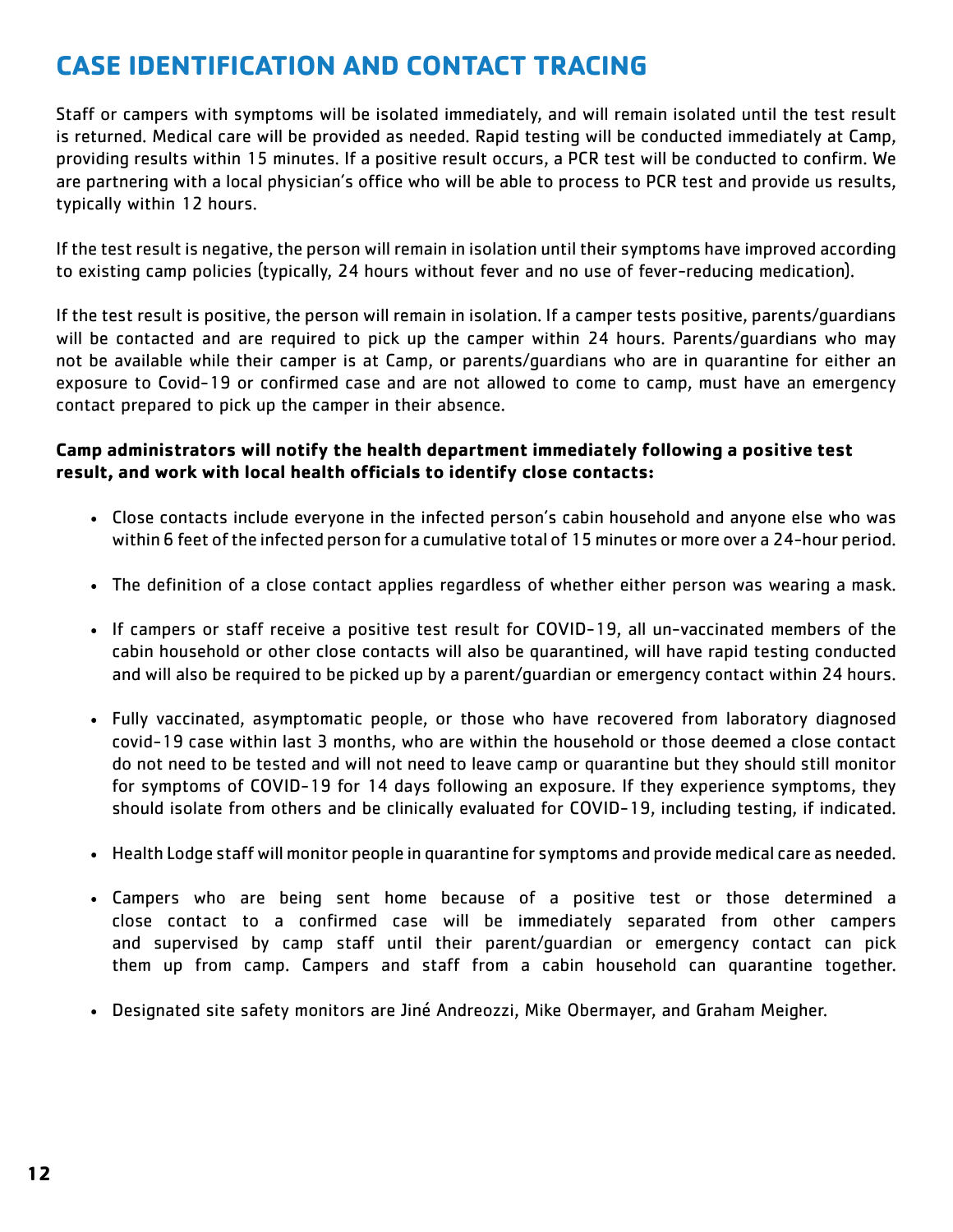# <span id="page-12-0"></span>**CASE IDENTIFICATION AND CONTACT TRACING**

Staff or campers with symptoms will be isolated immediately, and will remain isolated until the test result is returned. Medical care will be provided as needed. Rapid testing will be conducted immediately at Camp, providing results within 15 minutes. If a positive result occurs, a PCR test will be conducted to confirm. We are partnering with a local physician's office who will be able to process to PCR test and provide us results, typically within 12 hours.

If the test result is negative, the person will remain in isolation until their symptoms have improved according to existing camp policies (typically, 24 hours without fever and no use of fever-reducing medication).

If the test result is positive, the person will remain in isolation. If a camper tests positive, parents/guardians will be contacted and are required to pick up the camper within 24 hours. Parents/guardians who may not be available while their camper is at Camp, or parents/guardians who are in quarantine for either an exposure to Covid-19 or confirmed case and are not allowed to come to camp, must have an emergency contact prepared to pick up the camper in their absence.

#### **Camp administrators will notify the health department immediately following a positive test result, and work with local health officials to identify close contacts:**

- Close contacts include everyone in the infected person's cabin household and anyone else who was within 6 feet of the infected person for a cumulative total of 15 minutes or more over a 24-hour period.
- The definition of a close contact applies regardless of whether either person was wearing a mask.
- If campers or staff receive a positive test result for COVID-19, all un-vaccinated members of the cabin household or other close contacts will also be quarantined, will have rapid testing conducted and will also be required to be picked up by a parent/guardian or emergency contact within 24 hours.
- Fully vaccinated, asymptomatic people, or those who have recovered from laboratory diagnosed covid-19 case within last 3 months, who are within the household or those deemed a close contact do not need to be tested and will not need to leave camp or quarantine but they should still monitor for symptoms of COVID-19 for 14 days following an exposure. If they experience symptoms, they should isolate from others and be clinically evaluated for COVID-19, including testing, if indicated.
- Health Lodge staff will monitor people in quarantine for symptoms and provide medical care as needed.
- Campers who are being sent home because of a positive test or those determined a close contact to a confirmed case will be immediately separated from other campers and supervised by camp staff until their parent/guardian or emergency contact can pick them up from camp. Campers and staff from a cabin household can quarantine together.
- Designated site safety monitors are Jiné Andreozzi, Mike Obermayer, and Graham Meigher.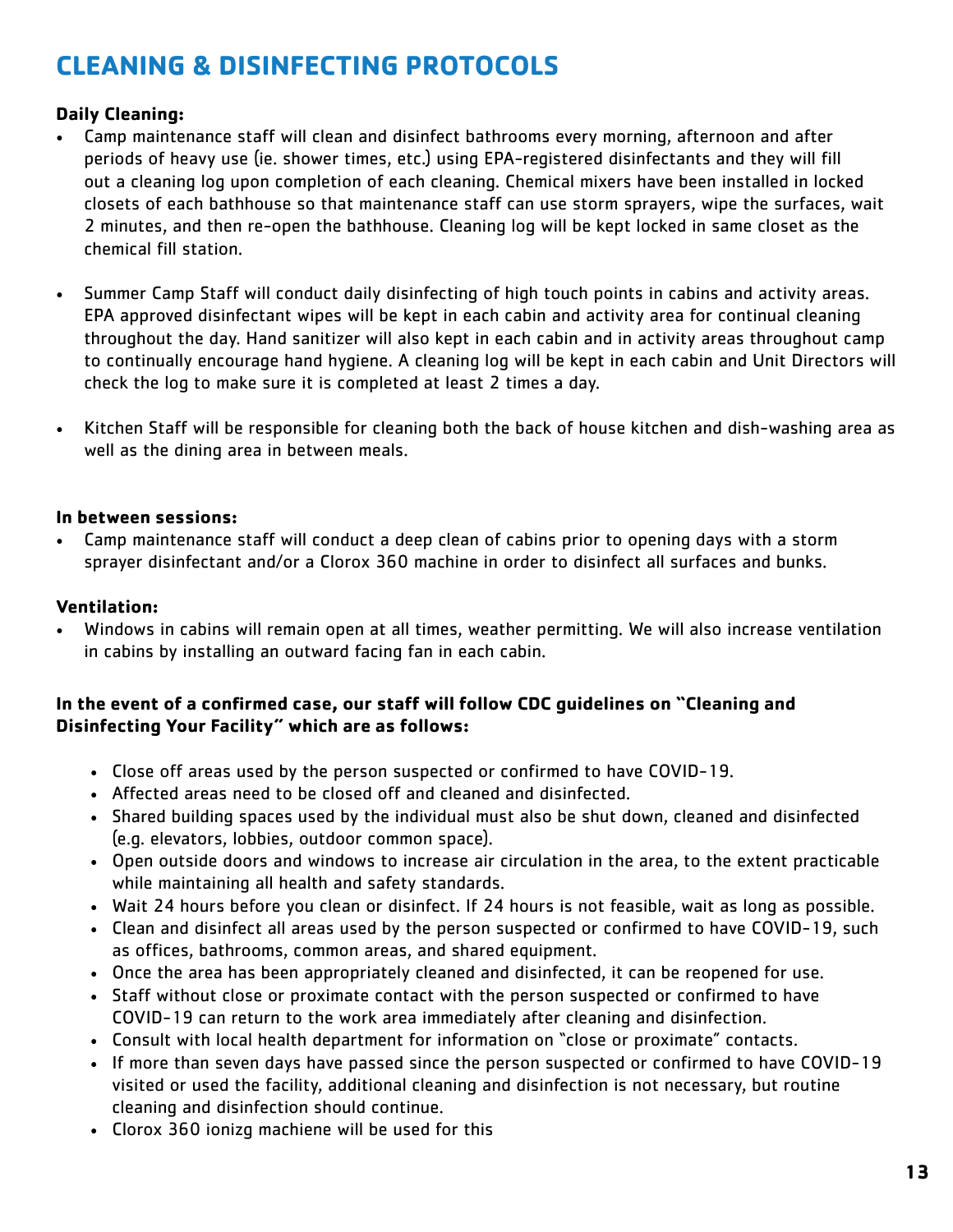# <span id="page-13-0"></span>**CLEANING & DISINFECTING PROTOCOLS**

## **Daily Cleaning:**

- Camp maintenance staff will clean and disinfect bathrooms every morning, afternoon and after periods of heavy use (ie. shower times, etc.) using EPA-registered disinfectants and they will fill out a cleaning log upon completion of each cleaning. Chemical mixers have been installed in locked closets of each bathhouse so that maintenance staff can use storm sprayers, wipe the surfaces, wait 2 minutes, and then re-open the bathhouse. Cleaning log will be kept locked in same closet as the chemical fill station.
- Summer Camp Staff will conduct daily disinfecting of high touch points in cabins and activity areas. EPA approved disinfectant wipes will be kept in each cabin and activity area for continual cleaning throughout the day. Hand sanitizer will also kept in each cabin and in activity areas throughout camp to continually encourage hand hygiene. A cleaning log will be kept in each cabin and Unit Directors will check the log to make sure it is completed at least 2 times a day.
- Kitchen Staff will be responsible for cleaning both the back of house kitchen and dish-washing area as well as the dining area in between meals.

#### **In between sessions:**

• Camp maintenance staff will conduct a deep clean of cabins prior to opening days with a storm sprayer disinfectant and/or a Clorox 360 machine in order to disinfect all surfaces and bunks.

### **Ventilation:**

• Windows in cabins will remain open at all times, weather permitting. We will also increase ventilation in cabins by installing an outward facing fan in each cabin.

#### **In the event of a confirmed case, our staff will follow CDC guidelines on "Cleaning and Disinfecting Your Facility" which are as follows:**

- Close off areas used by the person suspected or confirmed to have COVID-19.
- Affected areas need to be closed off and cleaned and disinfected.
- Shared building spaces used by the individual must also be shut down, cleaned and disinfected (e.g. elevators, lobbies, outdoor common space).
- Open outside doors and windows to increase air circulation in the area, to the extent practicable while maintaining all health and safety standards.
- Wait 24 hours before you clean or disinfect. If 24 hours is not feasible, wait as long as possible.
- Clean and disinfect all areas used by the person suspected or confirmed to have COVID-19, such as offices, bathrooms, common areas, and shared equipment.
- Once the area has been appropriately cleaned and disinfected, it can be reopened for use.
- Staff without close or proximate contact with the person suspected or confirmed to have COVID-19 can return to the work area immediately after cleaning and disinfection.
- Consult with local health department for information on "close or proximate" contacts.
- If more than seven days have passed since the person suspected or confirmed to have COVID-19 visited or used the facility, additional cleaning and disinfection is not necessary, but routine cleaning and disinfection should continue.
- Clorox 360 ionizg machiene will be used for this